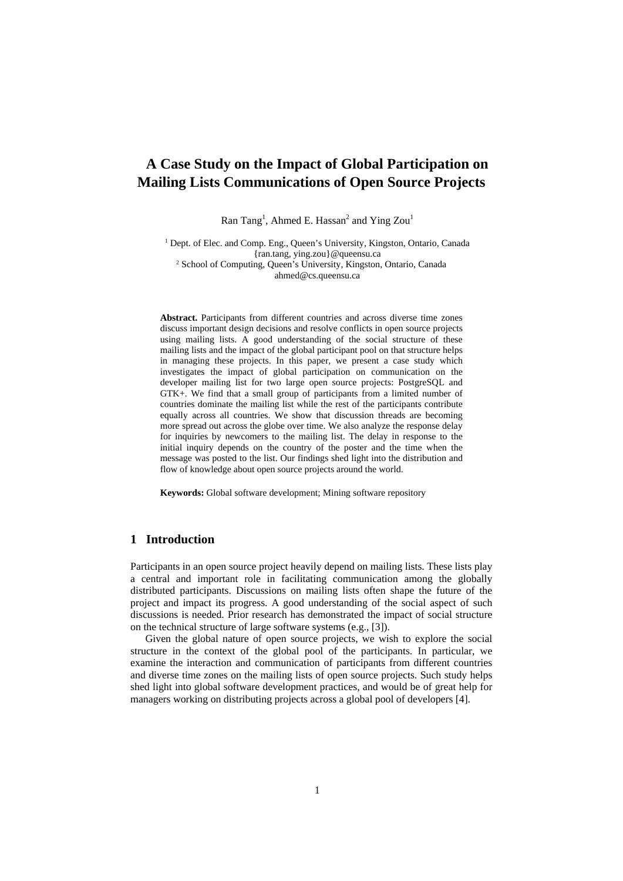# **A Case Study on the Impact of Global Participation on Mailing Lists Communications of Open Source Projects**

Ran Tang<sup>1</sup>, Ahmed E. Hassan<sup>2</sup> and Ying Zou<sup>1</sup>

<sup>1</sup> Dept. of Elec. and Comp. Eng., Queen's University, Kingston, Ontario, Canada {ran.tang, ying.zou}@queensu.ca 2 School of Computing, Queen's University, Kingston, Ontario, Canada ahmed@cs.queensu.ca

**Abstract.** Participants from different countries and across diverse time zones discuss important design decisions and resolve conflicts in open source projects using mailing lists. A good understanding of the social structure of these mailing lists and the impact of the global participant pool on that structure helps in managing these projects. In this paper, we present a case study which investigates the impact of global participation on communication on the developer mailing list for two large open source projects: PostgreSQL and GTK+. We find that a small group of participants from a limited number of countries dominate the mailing list while the rest of the participants contribute equally across all countries. We show that discussion threads are becoming more spread out across the globe over time. We also analyze the response delay for inquiries by newcomers to the mailing list. The delay in response to the initial inquiry depends on the country of the poster and the time when the message was posted to the list. Our findings shed light into the distribution and flow of knowledge about open source projects around the world.

**Keywords:** Global software development; Mining software repository

### **1 Introduction**

Participants in an open source project heavily depend on mailing lists. These lists play a central and important role in facilitating communication among the globally distributed participants. Discussions on mailing lists often shape the future of the project and impact its progress. A good understanding of the social aspect of such discussions is needed. Prior research has demonstrated the impact of social structure on the technical structure of large software systems (e.g., [3]).

Given the global nature of open source projects, we wish to explore the social structure in the context of the global pool of the participants. In particular, we examine the interaction and communication of participants from different countries and diverse time zones on the mailing lists of open source projects. Such study helps shed light into global software development practices, and would be of great help for managers working on distributing projects across a global pool of developers [4].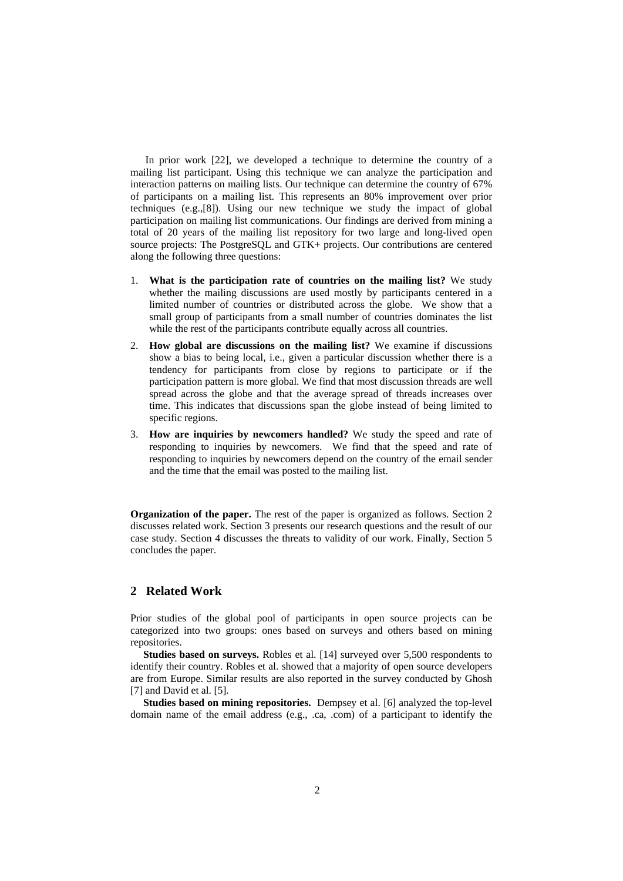In prior work [22], we developed a technique to determine the country of a mailing list participant. Using this technique we can analyze the participation and interaction patterns on mailing lists. Our technique can determine the country of 67% of participants on a mailing list. This represents an 80% improvement over prior techniques (e.g.,[8]). Using our new technique we study the impact of global participation on mailing list communications. Our findings are derived from mining a total of 20 years of the mailing list repository for two large and long-lived open source projects: The PostgreSQL and GTK+ projects. Our contributions are centered along the following three questions:

- 1. **What is the participation rate of countries on the mailing list?** We study whether the mailing discussions are used mostly by participants centered in a limited number of countries or distributed across the globe. We show that a small group of participants from a small number of countries dominates the list while the rest of the participants contribute equally across all countries.
- 2. **How global are discussions on the mailing list?** We examine if discussions show a bias to being local, i.e., given a particular discussion whether there is a tendency for participants from close by regions to participate or if the participation pattern is more global. We find that most discussion threads are well spread across the globe and that the average spread of threads increases over time. This indicates that discussions span the globe instead of being limited to specific regions.
- 3. **How are inquiries by newcomers handled?** We study the speed and rate of responding to inquiries by newcomers. We find that the speed and rate of responding to inquiries by newcomers depend on the country of the email sender and the time that the email was posted to the mailing list.

**Organization of the paper.** The rest of the paper is organized as follows. Section 2 discusses related work. Section 3 presents our research questions and the result of our case study. Section 4 discusses the threats to validity of our work. Finally, Section 5 concludes the paper.

## **2 Related Work**

Prior studies of the global pool of participants in open source projects can be categorized into two groups: ones based on surveys and others based on mining repositories.

**Studies based on surveys.** Robles et al. [14] surveyed over 5,500 respondents to identify their country. Robles et al. showed that a majority of open source developers are from Europe. Similar results are also reported in the survey conducted by Ghosh [7] and David et al. [5].

**Studies based on mining repositories.** Dempsey et al. [6] analyzed the top-level domain name of the email address (e.g., .ca, .com) of a participant to identify the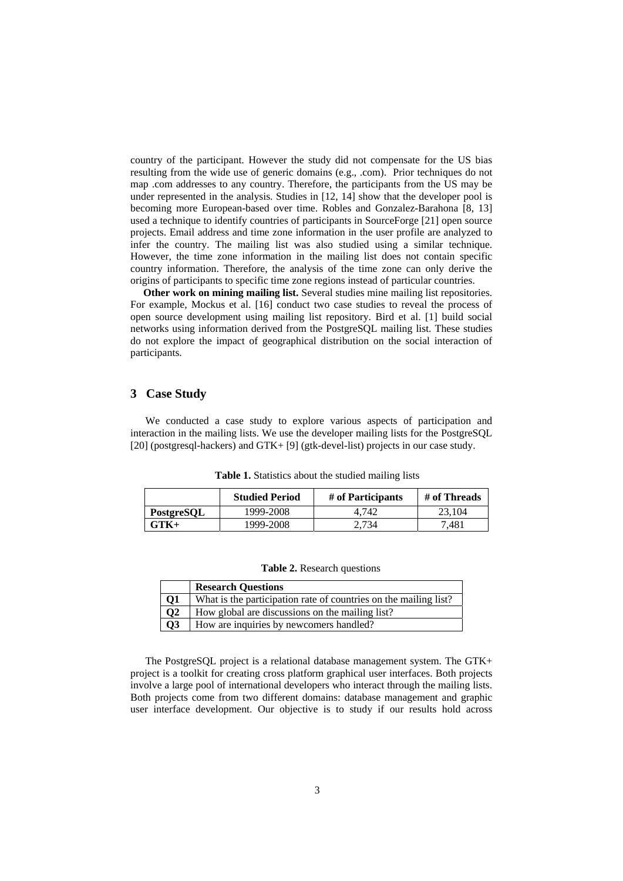country of the participant. However the study did not compensate for the US bias resulting from the wide use of generic domains (e.g., .com). Prior techniques do not map .com addresses to any country. Therefore, the participants from the US may be under represented in the analysis. Studies in [12, 14] show that the developer pool is becoming more European-based over time. Robles and Gonzalez-Barahona [8, 13] used a technique to identify countries of participants in SourceForge [21] open source projects. Email address and time zone information in the user profile are analyzed to infer the country. The mailing list was also studied using a similar technique. However, the time zone information in the mailing list does not contain specific country information. Therefore, the analysis of the time zone can only derive the origins of participants to specific time zone regions instead of particular countries.

**Other work on mining mailing list.** Several studies mine mailing list repositories. For example, Mockus et al. [16] conduct two case studies to reveal the process of open source development using mailing list repository. Bird et al. [1] build social networks using information derived from the PostgreSQL mailing list. These studies do not explore the impact of geographical distribution on the social interaction of participants.

## **3 Case Study**

 We conducted a case study to explore various aspects of participation and interaction in the mailing lists. We use the developer mailing lists for the PostgreSQL [20] (postgresql-hackers) and GTK+ [9] (gtk-devel-list) projects in our case study.

**Table 1.** Statistics about the studied mailing lists

|            | <b>Studied Period</b> | # of Participants | # of Threads |
|------------|-----------------------|-------------------|--------------|
| PostgreSQL | 1999-2008             | 4.742             | 23.104       |
| $GTK+$     | 1999-2008             | 2.734             | 7481         |

**Table 2.** Research questions

|                 | <b>Research Questions</b>                                        |
|-----------------|------------------------------------------------------------------|
| Q1              | What is the participation rate of countries on the mailing list? |
| $\overline{Q}2$ | How global are discussions on the mailing list?                  |
| $\overline{Q3}$ | How are inquiries by newcomers handled?                          |

 The PostgreSQL project is a relational database management system. The GTK+ project is a toolkit for creating cross platform graphical user interfaces. Both projects involve a large pool of international developers who interact through the mailing lists. Both projects come from two different domains: database management and graphic user interface development. Our objective is to study if our results hold across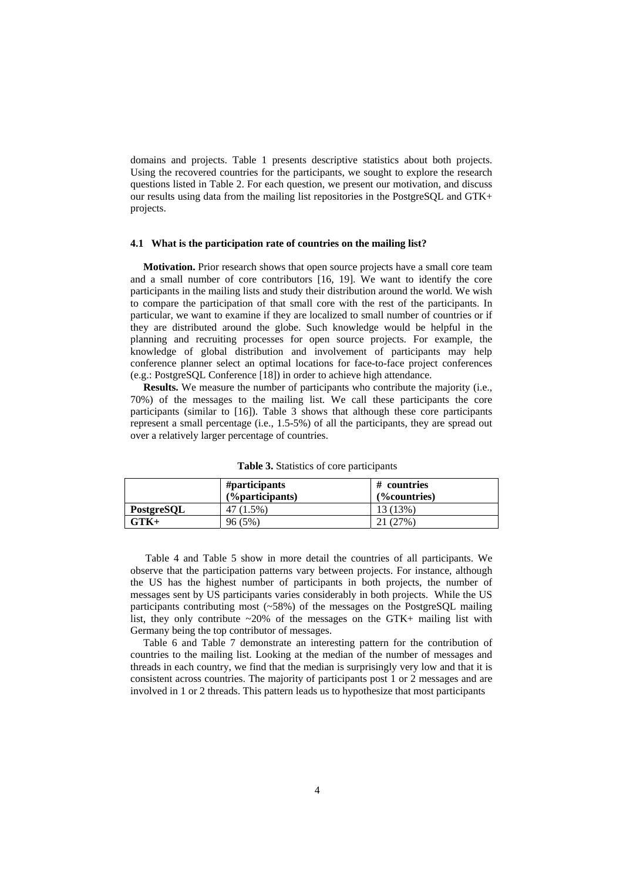domains and projects. Table 1 presents descriptive statistics about both projects. Using the recovered countries for the participants, we sought to explore the research questions listed in Table 2. For each question, we present our motivation, and discuss our results using data from the mailing list repositories in the PostgreSQL and GTK+ projects.

#### **4.1 What is the participation rate of countries on the mailing list?**

**Motivation.** Prior research shows that open source projects have a small core team and a small number of core contributors [16, 19]. We want to identify the core participants in the mailing lists and study their distribution around the world. We wish to compare the participation of that small core with the rest of the participants. In particular, we want to examine if they are localized to small number of countries or if they are distributed around the globe. Such knowledge would be helpful in the planning and recruiting processes for open source projects. For example, the knowledge of global distribution and involvement of participants may help conference planner select an optimal locations for face-to-face project conferences (e.g.: PostgreSQL Conference [18]) in order to achieve high attendance.

**Results.** We measure the number of participants who contribute the majority (i.e., 70%) of the messages to the mailing list. We call these participants the core participants (similar to [16]). Table 3 shows that although these core participants represent a small percentage (i.e., 1.5-5%) of all the participants, they are spread out over a relatively larger percentage of countries.

|            | #participants<br>$(\%$ participants) | # countries<br>(%countries) |
|------------|--------------------------------------|-----------------------------|
| PostgreSOL | 47 (1.5%)                            | 13 (13%)                    |
| $GTK+$     | 96(5%)                               | 21 (27%)                    |

**Table 3.** Statistics of core participants

Table 4 and Table 5 show in more detail the countries of all participants. We observe that the participation patterns vary between projects. For instance, although the US has the highest number of participants in both projects, the number of messages sent by US participants varies considerably in both projects. While the US participants contributing most (~58%) of the messages on the PostgreSQL mailing list, they only contribute  $\sim 20\%$  of the messages on the GTK+ mailing list with Germany being the top contributor of messages.

Table 6 and Table 7 demonstrate an interesting pattern for the contribution of countries to the mailing list. Looking at the median of the number of messages and threads in each country, we find that the median is surprisingly very low and that it is consistent across countries. The majority of participants post 1 or 2 messages and are involved in 1 or 2 threads. This pattern leads us to hypothesize that most participants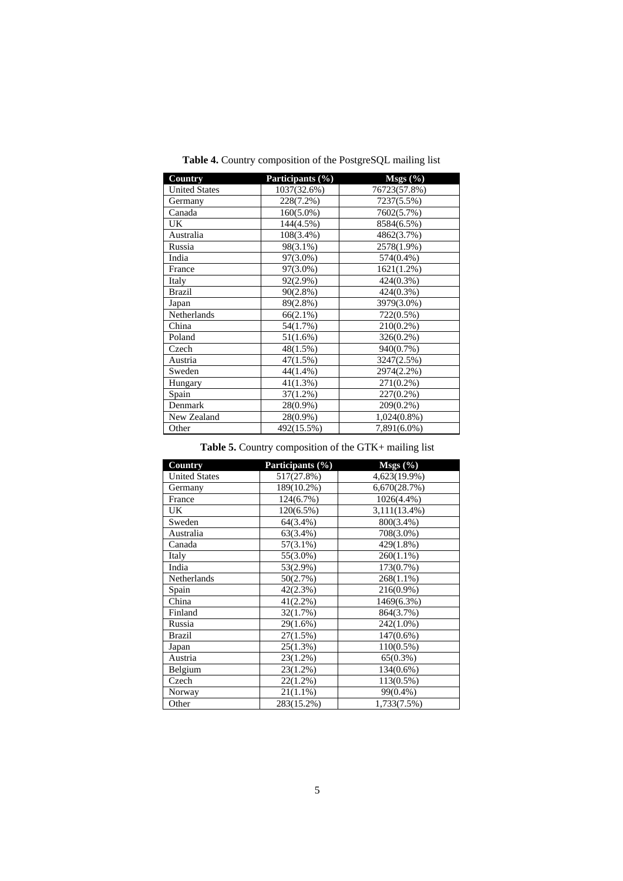| <b>Country</b>       | Participants (%) | $Msgs (\% )$   |
|----------------------|------------------|----------------|
| <b>United States</b> | 1037(32.6%)      | 76723(57.8%)   |
| Germany              | 228(7.2%)        | 7237(5.5%)     |
| Canada               | $160(5.0\%)$     | 7602(5.7%)     |
| UK.                  | 144(4.5%)        | 8584(6.5%)     |
| Australia            | 108(3.4%)        | 4862(3.7%)     |
| Russia               | 98(3.1%)         | 2578(1.9%)     |
| India                | 97(3.0%)         | 574(0.4%)      |
| France               | 97(3.0%)         | 1621(1.2%)     |
| Italy                | 92(2.9%)         | $424(0.3\%)$   |
| <b>Brazil</b>        | 90(2.8%)         | $424(0.3\%)$   |
| Japan                | 89(2.8%)         | 3979(3.0%)     |
| Netherlands          | $66(2.1\%)$      | $722(0.5\%)$   |
| China                | 54(1.7%)         | $210(0.2\%)$   |
| Poland               | $51(1.6\%)$      | $326(0.2\%)$   |
| Czech                | 48(1.5%)         | 940(0.7%)      |
| Austria              | 47(1.5%)         | 3247(2.5%)     |
| Sweden               | $44(1.4\%)$      | 2974(2.2%)     |
| Hungary              | 41(1.3%)         | $271(0.2\%)$   |
| Spain                | $37(1.2\%)$      | $227(0.2\%)$   |
| Denmark              | 28(0.9%)         | 209(0.2%)      |
| New Zealand          | $28(0.9\%)$      | $1,024(0.8\%)$ |
| Other                | 492(15.5%)       | 7,891(6.0%)    |

**Table 4.** Country composition of the PostgreSQL mailing list

# Table 5. Country composition of the GTK+ mailing list

| Country              | Participants (%) | $Msgs (\overline{\%})$ |
|----------------------|------------------|------------------------|
| <b>United States</b> | 517(27.8%)       | 4,623(19.9%)           |
| Germany              | 189(10.2%)       | 6,670(28.7%)           |
| France               | 124(6.7%)        | 1026(4.4%)             |
| <b>UK</b>            | 120(6.5%)        | 3,111(13.4%)           |
| Sweden               | 64(3.4%)         | 800(3.4%)              |
| Australia            | 63(3.4%)         | 708(3.0%)              |
| Canada               | $57(3.1\%)$      | 429(1.8%)              |
| Italy                | 55(3.0%)         | $260(1.1\%)$           |
| India                | 53(2.9%)         | 173(0.7%)              |
| Netherlands          | 50(2.7%)         | $268(1.1\%)$           |
| Spain                | 42(2.3%)         | 216(0.9%)              |
| China                | $41(2.2\%)$      | 1469(6.3%)             |
| Finland              | 32(1.7%)         | 864(3.7%)              |
| Russia               | 29(1.6%)         | 242(1.0%)              |
| <b>Brazil</b>        | 27(1.5%)         | $147(0.6\%)$           |
| Japan                | 25(1.3%)         | $110(0.5\%)$           |
| Austria              | 23(1.2%)         | 65(0.3%)               |
| Belgium              | 23(1.2%)         | 134(0.6%)              |
| Czech                | $22(1.2\%)$      | 113(0.5%)              |
| Norway               | $21(1.1\%)$      | 99(0.4%)               |
| Other                | 283(15.2%)       | 1,733(7.5%)            |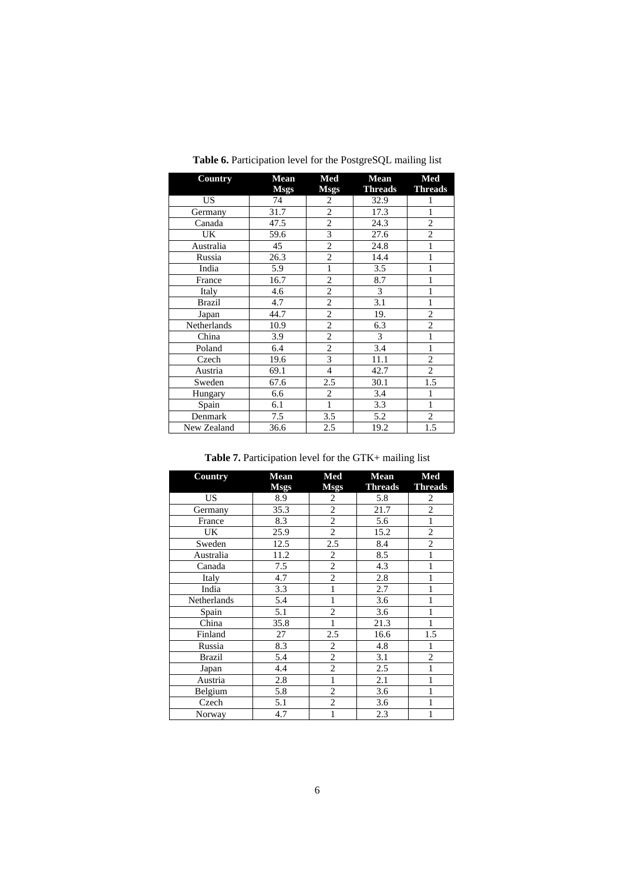| <b>Country</b> | Mean<br><b>Msgs</b> | Med<br><b>Msgs</b> | <b>Mean</b><br><b>Threads</b> | Med<br><b>Threads</b> |
|----------------|---------------------|--------------------|-------------------------------|-----------------------|
| <b>US</b>      | 74                  | 2                  | 32.9                          | 1                     |
| Germany        | 31.7                | $\overline{c}$     | 17.3                          | 1                     |
| Canada         | 47.5                | $\overline{c}$     | 24.3                          | $\overline{c}$        |
| UK             | 59.6                | 3                  | 27.6                          | $\overline{2}$        |
| Australia      | 45                  | $\overline{c}$     | 24.8                          | 1                     |
| Russia         | 26.3                | $\overline{2}$     | 14.4                          | 1                     |
| India          | 5.9                 | 1                  | 3.5                           | 1                     |
| France         | 16.7                | $\overline{2}$     | 8.7                           | 1                     |
| Italy          | 4.6                 | $\overline{2}$     | 3                             | 1                     |
| <b>Brazil</b>  | 4.7                 | $\overline{c}$     | 3.1                           | 1                     |
| Japan          | 44.7                | $\overline{c}$     | 19.                           | $\overline{c}$        |
| Netherlands    | 10.9                | $\overline{2}$     | 6.3                           | $\overline{c}$        |
| China          | 3.9                 | $\overline{2}$     | 3                             | $\mathbf{1}$          |
| Poland         | 6.4                 | $\overline{2}$     | 3.4                           | 1                     |
| Czech          | 19.6                | 3                  | 11.1                          | $\overline{c}$        |
| Austria        | 69.1                | $\overline{4}$     | 42.7                          | $\overline{2}$        |
| Sweden         | 67.6                | 2.5                | 30.1                          | 1.5                   |
| Hungary        | 6.6                 | $\overline{c}$     | 3.4                           | 1                     |
| Spain          | 6.1                 | 1                  | 3.3                           | 1                     |
| Denmark        | 7.5                 | 3.5                | 5.2                           | $\overline{c}$        |
| New Zealand    | 36.6                | 2.5                | 19.2                          | 1.5                   |

Table 6. Participation level for the PostgreSQL mailing list

Table 7. Participation level for the GTK+ mailing list

| <b>Country</b> | <b>Mean</b> | Med            | <b>Mean</b> | Med            |
|----------------|-------------|----------------|-------------|----------------|
|                | <b>Msgs</b> | <b>Msgs</b>    | Threads     | <b>Threads</b> |
| <b>US</b>      | 8.9         | 2              | 5.8         | 2              |
| Germany        | 35.3        | $\overline{c}$ | 21.7        | $\overline{c}$ |
| France         | 8.3         | $\overline{c}$ | 5.6         | $\mathbf{1}$   |
| UK             | 25.9        | $\overline{2}$ | 15.2        | $\overline{c}$ |
| Sweden         | 12.5        | 2.5            | 8.4         | $\overline{2}$ |
| Australia      | 11.2        | $\overline{2}$ | 8.5         | 1              |
| Canada         | 7.5         | $\overline{c}$ | 4.3         | 1              |
| Italy          | 4.7         | $\overline{c}$ | 2.8         | 1              |
| India          | 3.3         | 1              | 2.7         | 1              |
| Netherlands    | 5.4         |                | 3.6         |                |
| Spain          | 5.1         | $\overline{c}$ | 3.6         |                |
| China          | 35.8        | 1              | 21.3        | 1              |
| Finland        | 27          | 2.5            | 16.6        | 1.5            |
| Russia         | 8.3         | $\overline{2}$ | 4.8         | 1              |
| <b>Brazil</b>  | 5.4         | $\overline{2}$ | 3.1         | $\overline{c}$ |
| Japan          | 4.4         | $\overline{c}$ | 2.5         |                |
| Austria        | 2.8         | 1              | 2.1         | 1              |
| Belgium        | 5.8         | $\overline{c}$ | 3.6         | 1              |
| Czech          | 5.1         | $\overline{c}$ | 3.6         |                |
| Norway         | 4.7         | 1              | 2.3         | 1              |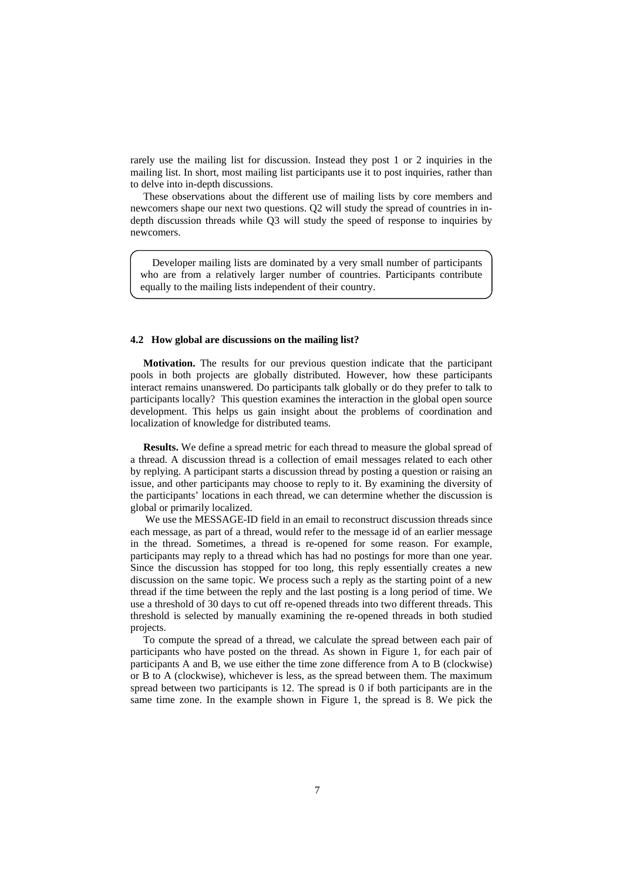rarely use the mailing list for discussion. Instead they post 1 or 2 inquiries in the mailing list. In short, most mailing list participants use it to post inquiries, rather than to delve into in-depth discussions.

These observations about the different use of mailing lists by core members and newcomers shape our next two questions. Q2 will study the spread of countries in indepth discussion threads while Q3 will study the speed of response to inquiries by newcomers.

Developer mailing lists are dominated by a very small number of participants who are from a relatively larger number of countries. Participants contribute equally to the mailing lists independent of their country.

#### **4.2 How global are discussions on the mailing list?**

**Motivation.** The results for our previous question indicate that the participant pools in both projects are globally distributed. However, how these participants interact remains unanswered. Do participants talk globally or do they prefer to talk to participants locally? This question examines the interaction in the global open source development. This helps us gain insight about the problems of coordination and localization of knowledge for distributed teams.

**Results.** We define a spread metric for each thread to measure the global spread of a thread. A discussion thread is a collection of email messages related to each other by replying. A participant starts a discussion thread by posting a question or raising an issue, and other participants may choose to reply to it. By examining the diversity of the participants' locations in each thread, we can determine whether the discussion is global or primarily localized.

We use the MESSAGE-ID field in an email to reconstruct discussion threads since each message, as part of a thread, would refer to the message id of an earlier message in the thread. Sometimes, a thread is re-opened for some reason. For example, participants may reply to a thread which has had no postings for more than one year. Since the discussion has stopped for too long, this reply essentially creates a new discussion on the same topic. We process such a reply as the starting point of a new thread if the time between the reply and the last posting is a long period of time. We use a threshold of 30 days to cut off re-opened threads into two different threads. This threshold is selected by manually examining the re-opened threads in both studied projects.

To compute the spread of a thread, we calculate the spread between each pair of participants who have posted on the thread. As shown in Figure 1, for each pair of participants A and B, we use either the time zone difference from A to B (clockwise) or B to A (clockwise), whichever is less, as the spread between them. The maximum spread between two participants is 12. The spread is 0 if both participants are in the same time zone. In the example shown in Figure 1, the spread is 8. We pick the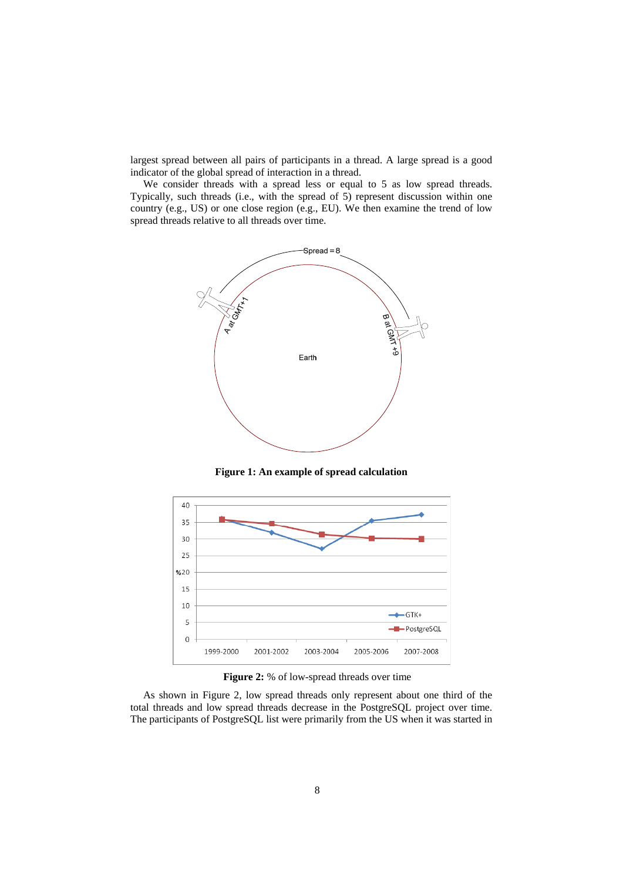largest spread between all pairs of participants in a thread. A large spread is a good indicator of the global spread of interaction in a thread.

We consider threads with a spread less or equal to 5 as low spread threads. Typically, such threads (i.e., with the spread of 5) represent discussion within one country (e.g., US) or one close region (e.g., EU). We then examine the trend of low spread threads relative to all threads over time.



**Figure 1: An example of spread calculation** 



**Figure 2:** % of low-spread threads over time

As shown in Figure 2, low spread threads only represent about one third of the total threads and low spread threads decrease in the PostgreSQL project over time. The participants of PostgreSQL list were primarily from the US when it was started in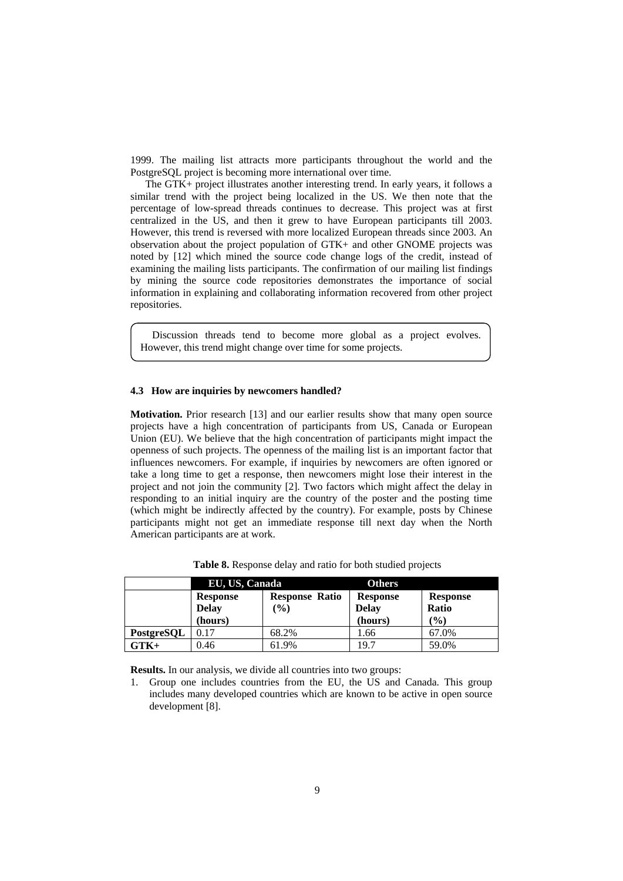1999. The mailing list attracts more participants throughout the world and the PostgreSQL project is becoming more international over time.

The GTK+ project illustrates another interesting trend. In early years, it follows a similar trend with the project being localized in the US. We then note that the percentage of low-spread threads continues to decrease. This project was at first centralized in the US, and then it grew to have European participants till 2003. However, this trend is reversed with more localized European threads since 2003. An observation about the project population of GTK+ and other GNOME projects was noted by [12] which mined the source code change logs of the credit, instead of examining the mailing lists participants. The confirmation of our mailing list findings by mining the source code repositories demonstrates the importance of social information in explaining and collaborating information recovered from other project repositories.

Discussion threads tend to become more global as a project evolves. However, this trend might change over time for some projects.

#### **4.3 How are inquiries by newcomers handled?**

**Motivation.** Prior research [13] and our earlier results show that many open source projects have a high concentration of participants from US, Canada or European Union (EU). We believe that the high concentration of participants might impact the openness of such projects. The openness of the mailing list is an important factor that influences newcomers. For example, if inquiries by newcomers are often ignored or take a long time to get a response, then newcomers might lose their interest in the project and not join the community [2]. Two factors which might affect the delay in responding to an initial inquiry are the country of the poster and the posting time (which might be indirectly affected by the country). For example, posts by Chinese participants might not get an immediate response till next day when the North American participants are at work.

|            | EU, US, Canada           |                                 | <b>Others</b>                   |                                 |
|------------|--------------------------|---------------------------------|---------------------------------|---------------------------------|
|            | Response<br><b>Delay</b> | <b>Response Ratio</b><br>$(\%)$ | <b>Response</b><br><b>Delay</b> | <b>Response</b><br><b>Ratio</b> |
|            | (hours)                  |                                 | (hours)                         | (%)                             |
| PostgreSQL | 0.17                     | 68.2%                           | 1.66                            | 67.0%                           |
| $GTK+$     | 0.46                     | 61.9%                           | 19.7                            | 59.0%                           |

**Table 8.** Response delay and ratio for both studied projects

**Results.** In our analysis, we divide all countries into two groups:

1. Group one includes countries from the EU, the US and Canada. This group includes many developed countries which are known to be active in open source development [8].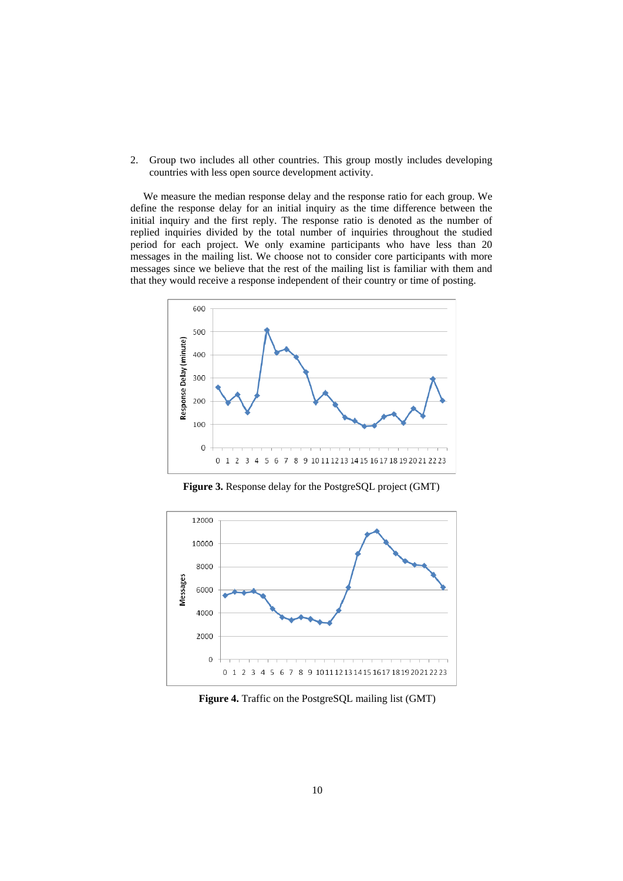2. Group two includes all other countries. This group mostly includes developing countries with less open source development activity.

We measure the median response delay and the response ratio for each group. We define the response delay for an initial inquiry as the time difference between the initial inquiry and the first reply. The response ratio is denoted as the number of replied inquiries divided by the total number of inquiries throughout the studied period for each project. We only examine participants who have less than 20 messages in the mailing list. We choose not to consider core participants with more messages since we believe that the rest of the mailing list is familiar with them and that they would receive a response independent of their country or time of posting.



**Figure 3.** Response delay for the PostgreSQL project (GMT)



**Figure 4.** Traffic on the PostgreSQL mailing list (GMT)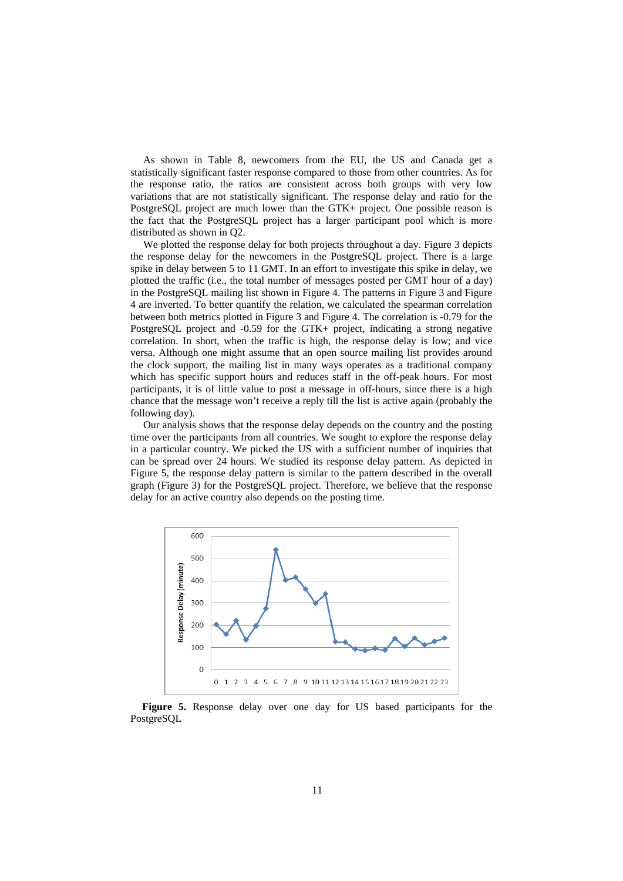As shown in Table 8, newcomers from the EU, the US and Canada get a statistically significant faster response compared to those from other countries. As for the response ratio, the ratios are consistent across both groups with very low variations that are not statistically significant. The response delay and ratio for the PostgreSQL project are much lower than the GTK+ project. One possible reason is the fact that the PostgreSQL project has a larger participant pool which is more distributed as shown in Q2.

We plotted the response delay for both projects throughout a day. Figure 3 depicts the response delay for the newcomers in the PostgreSQL project. There is a large spike in delay between 5 to 11 GMT. In an effort to investigate this spike in delay, we plotted the traffic (i.e., the total number of messages posted per GMT hour of a day) in the PostgreSQL mailing list shown in Figure 4. The patterns in Figure 3 and Figure 4 are inverted. To better quantify the relation, we calculated the spearman correlation between both metrics plotted in Figure 3 and Figure 4. The correlation is -0.79 for the PostgreSQL project and -0.59 for the GTK+ project, indicating a strong negative correlation. In short, when the traffic is high, the response delay is low; and vice versa. Although one might assume that an open source mailing list provides around the clock support, the mailing list in many ways operates as a traditional company which has specific support hours and reduces staff in the off-peak hours. For most participants, it is of little value to post a message in off-hours, since there is a high chance that the message won't receive a reply till the list is active again (probably the following day).

Our analysis shows that the response delay depends on the country and the posting time over the participants from all countries. We sought to explore the response delay in a particular country. We picked the US with a sufficient number of inquiries that can be spread over 24 hours. We studied its response delay pattern. As depicted in Figure 5, the response delay pattern is similar to the pattern described in the overall graph (Figure 3) for the PostgreSQL project. Therefore, we believe that the response delay for an active country also depends on the posting time.



**Figure 5.** Response delay over one day for US based participants for the PostgreSQL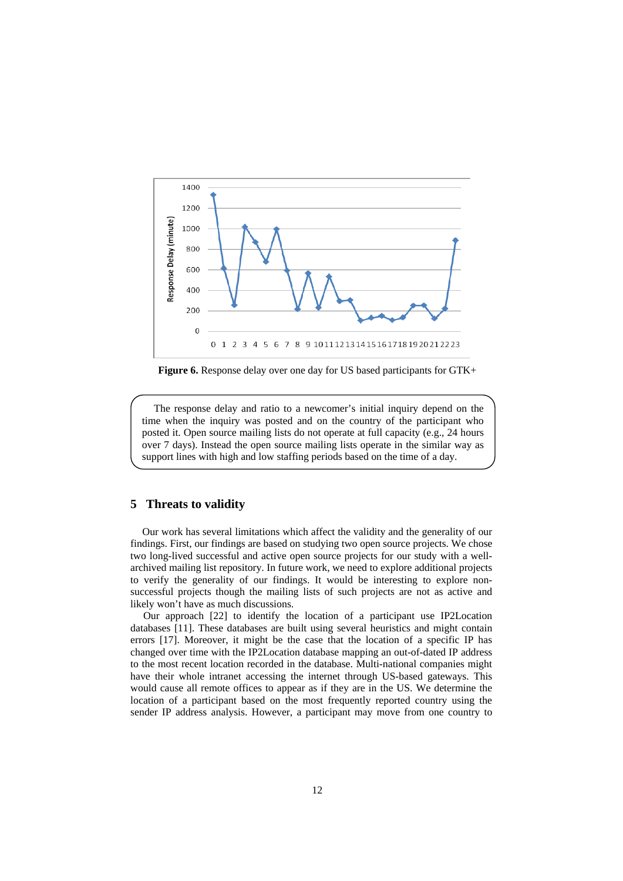

**Figure 6.** Response delay over one day for US based participants for GTK+

The response delay and ratio to a newcomer's initial inquiry depend on the time when the inquiry was posted and on the country of the participant who posted it. Open source mailing lists do not operate at full capacity (e.g., 24 hours over 7 days). Instead the open source mailing lists operate in the similar way as support lines with high and low staffing periods based on the time of a day.

### **5 Threats to validity**

Our work has several limitations which affect the validity and the generality of our findings. First, our findings are based on studying two open source projects. We chose two long-lived successful and active open source projects for our study with a wellarchived mailing list repository. In future work, we need to explore additional projects to verify the generality of our findings. It would be interesting to explore nonsuccessful projects though the mailing lists of such projects are not as active and likely won't have as much discussions.

Our approach [22] to identify the location of a participant use IP2Location databases [11]. These databases are built using several heuristics and might contain errors [17]. Moreover, it might be the case that the location of a specific IP has changed over time with the IP2Location database mapping an out-of-dated IP address to the most recent location recorded in the database. Multi-national companies might have their whole intranet accessing the internet through US-based gateways. This would cause all remote offices to appear as if they are in the US. We determine the location of a participant based on the most frequently reported country using the sender IP address analysis. However, a participant may move from one country to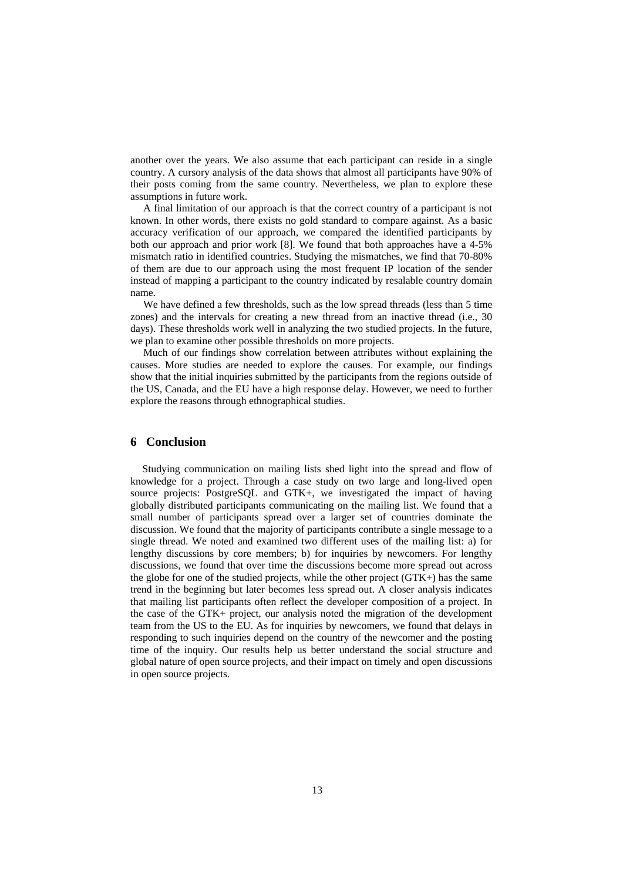another over the years. We also assume that each participant can reside in a single country. A cursory analysis of the data shows that almost all participants have 90% of their posts coming from the same country. Nevertheless, we plan to explore these assumptions in future work.

A final limitation of our approach is that the correct country of a participant is not known. In other words, there exists no gold standard to compare against. As a basic accuracy verification of our approach, we compared the identified participants by both our approach and prior work [8]. We found that both approaches have a 4-5% mismatch ratio in identified countries. Studying the mismatches, we find that 70-80% of them are due to our approach using the most frequent IP location of the sender instead of mapping a participant to the country indicated by resalable country domain name.

We have defined a few thresholds, such as the low spread threads (less than 5 time zones) and the intervals for creating a new thread from an inactive thread (i.e., 30 days). These thresholds work well in analyzing the two studied projects. In the future, we plan to examine other possible thresholds on more projects.

Much of our findings show correlation between attributes without explaining the causes. More studies are needed to explore the causes. For example, our findings show that the initial inquiries submitted by the participants from the regions outside of the US, Canada, and the EU have a high response delay. However, we need to further explore the reasons through ethnographical studies.

## **6 Conclusion**

Studying communication on mailing lists shed light into the spread and flow of knowledge for a project. Through a case study on two large and long-lived open source projects: PostgreSQL and GTK+, we investigated the impact of having globally distributed participants communicating on the mailing list. We found that a small number of participants spread over a larger set of countries dominate the discussion. We found that the majority of participants contribute a single message to a single thread. We noted and examined two different uses of the mailing list: a) for lengthy discussions by core members; b) for inquiries by newcomers. For lengthy discussions, we found that over time the discussions become more spread out across the globe for one of the studied projects, while the other project (GTK+) has the same trend in the beginning but later becomes less spread out. A closer analysis indicates that mailing list participants often reflect the developer composition of a project. In the case of the GTK+ project, our analysis noted the migration of the development team from the US to the EU. As for inquiries by newcomers, we found that delays in responding to such inquiries depend on the country of the newcomer and the posting time of the inquiry. Our results help us better understand the social structure and global nature of open source projects, and their impact on timely and open discussions in open source projects.